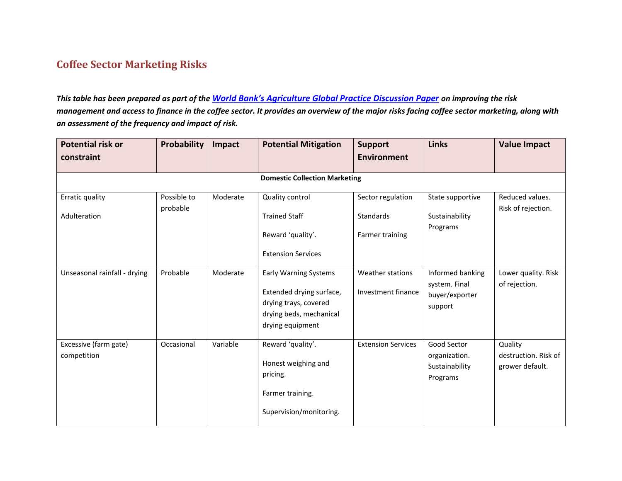## **Coffee Sector Marketing Risks**

*This table has been prepared as part of the World [Bank's Agriculture Global Practice Discussion Paper](http://www-wds.worldbank.org/external/default/WDSContentServer/WDSP/IB/2015/02/25/090224b082b4e293/1_0/Rendered/PDF/Risk0and0finan0in0the0coffee0sector.pdf) on improving the risk management and access to finance in the coffee sector. It provides an overview of the major risks facing coffee sector marketing, along with an assessment of the frequency and impact of risk.*

| <b>Potential risk or</b>             | Probability             | Impact   | <b>Potential Mitigation</b>                                                                                                      | <b>Support</b>                                    | <b>Links</b>                                                   | <b>Value Impact</b>                                |
|--------------------------------------|-------------------------|----------|----------------------------------------------------------------------------------------------------------------------------------|---------------------------------------------------|----------------------------------------------------------------|----------------------------------------------------|
| constraint                           |                         |          |                                                                                                                                  | <b>Environment</b>                                |                                                                |                                                    |
|                                      |                         |          | <b>Domestic Collection Marketing</b>                                                                                             |                                                   |                                                                |                                                    |
| Erratic quality<br>Adulteration      | Possible to<br>probable | Moderate | Quality control<br><b>Trained Staff</b><br>Reward 'quality'.<br><b>Extension Services</b>                                        | Sector regulation<br>Standards<br>Farmer training | State supportive<br>Sustainability<br>Programs                 | Reduced values.<br>Risk of rejection.              |
| Unseasonal rainfall - drying         | Probable                | Moderate | <b>Early Warning Systems</b><br>Extended drying surface,<br>drying trays, covered<br>drying beds, mechanical<br>drying equipment | Weather stations<br>Investment finance            | Informed banking<br>system. Final<br>buyer/exporter<br>support | Lower quality. Risk<br>of rejection.               |
| Excessive (farm gate)<br>competition | Occasional              | Variable | Reward 'quality'.<br>Honest weighing and<br>pricing.<br>Farmer training.<br>Supervision/monitoring.                              | <b>Extension Services</b>                         | Good Sector<br>organization.<br>Sustainability<br>Programs     | Quality<br>destruction. Risk of<br>grower default. |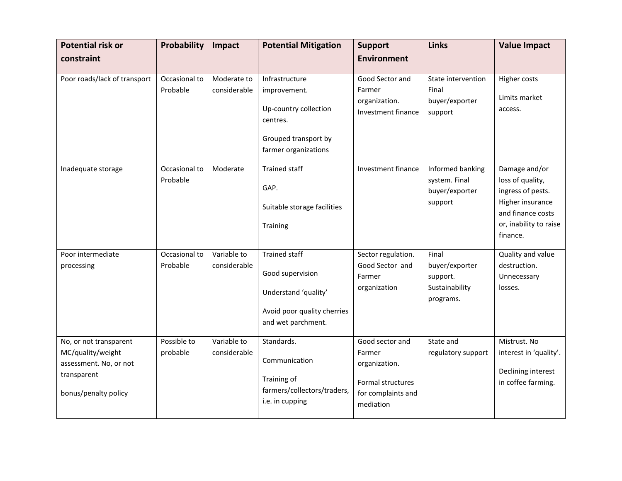| <b>Potential risk or</b><br>constraint                                                                       | Probability               | Impact                      | <b>Potential Mitigation</b>                                                                                           | <b>Support</b><br><b>Environment</b>                                                               | <b>Links</b>                                                       | <b>Value Impact</b>                                                                                                                   |
|--------------------------------------------------------------------------------------------------------------|---------------------------|-----------------------------|-----------------------------------------------------------------------------------------------------------------------|----------------------------------------------------------------------------------------------------|--------------------------------------------------------------------|---------------------------------------------------------------------------------------------------------------------------------------|
| Poor roads/lack of transport                                                                                 | Occasional to<br>Probable | Moderate to<br>considerable | Infrastructure<br>improvement.<br>Up-country collection<br>centres.<br>Grouped transport by<br>farmer organizations   | Good Sector and<br>Farmer<br>organization.<br>Investment finance                                   | State intervention<br>Final<br>buyer/exporter<br>support           | Higher costs<br>Limits market<br>access.                                                                                              |
| Inadequate storage                                                                                           | Occasional to<br>Probable | Moderate                    | <b>Trained staff</b><br>GAP.<br>Suitable storage facilities<br>Training                                               | Investment finance                                                                                 | Informed banking<br>system. Final<br>buyer/exporter<br>support     | Damage and/or<br>loss of quality,<br>ingress of pests.<br>Higher insurance<br>and finance costs<br>or, inability to raise<br>finance. |
| Poor intermediate<br>processing                                                                              | Occasional to<br>Probable | Variable to<br>considerable | <b>Trained staff</b><br>Good supervision<br>Understand 'quality'<br>Avoid poor quality cherries<br>and wet parchment. | Sector regulation.<br>Good Sector and<br>Farmer<br>organization                                    | Final<br>buyer/exporter<br>support.<br>Sustainability<br>programs. | Quality and value<br>destruction.<br>Unnecessary<br>losses.                                                                           |
| No, or not transparent<br>MC/quality/weight<br>assessment. No, or not<br>transparent<br>bonus/penalty policy | Possible to<br>probable   | Variable to<br>considerable | Standards.<br>Communication<br>Training of<br>farmers/collectors/traders,<br>i.e. in cupping                          | Good sector and<br>Farmer<br>organization.<br>Formal structures<br>for complaints and<br>mediation | State and<br>regulatory support                                    | Mistrust. No<br>interest in 'quality'.<br>Declining interest<br>in coffee farming.                                                    |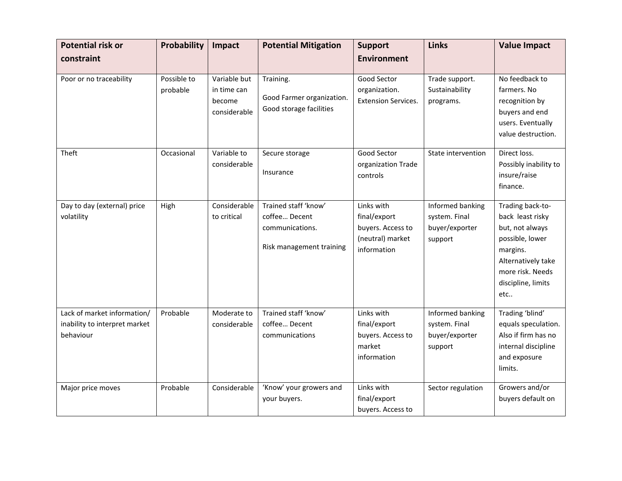| <b>Potential risk or</b><br>constraint                                    | Probability             | Impact                                                | <b>Potential Mitigation</b>                                                          | <b>Support</b><br><b>Environment</b>                                               | <b>Links</b>                                                   | <b>Value Impact</b>                                                                                                                                           |
|---------------------------------------------------------------------------|-------------------------|-------------------------------------------------------|--------------------------------------------------------------------------------------|------------------------------------------------------------------------------------|----------------------------------------------------------------|---------------------------------------------------------------------------------------------------------------------------------------------------------------|
|                                                                           |                         |                                                       |                                                                                      |                                                                                    |                                                                |                                                                                                                                                               |
| Poor or no traceability                                                   | Possible to<br>probable | Variable but<br>in time can<br>become<br>considerable | Training.<br>Good Farmer organization.<br>Good storage facilities                    | Good Sector<br>organization.<br><b>Extension Services.</b>                         | Trade support.<br>Sustainability<br>programs.                  | No feedback to<br>farmers. No<br>recognition by<br>buyers and end<br>users. Eventually<br>value destruction.                                                  |
| Theft                                                                     | Occasional              | Variable to<br>considerable                           | Secure storage<br>Insurance                                                          | Good Sector<br>organization Trade<br>controls                                      | State intervention                                             | Direct loss.<br>Possibly inability to<br>insure/raise<br>finance.                                                                                             |
| Day to day (external) price<br>volatility                                 | High                    | Considerable<br>to critical                           | Trained staff 'know'<br>coffee Decent<br>communications.<br>Risk management training | Links with<br>final/export<br>buyers. Access to<br>(neutral) market<br>information | Informed banking<br>system. Final<br>buyer/exporter<br>support | Trading back-to-<br>back least risky<br>but, not always<br>possible, lower<br>margins.<br>Alternatively take<br>more risk. Needs<br>discipline, limits<br>etc |
| Lack of market information/<br>inability to interpret market<br>behaviour | Probable                | Moderate to<br>considerable                           | Trained staff 'know'<br>coffee Decent<br>communications                              | Links with<br>final/export<br>buyers. Access to<br>market<br>information           | Informed banking<br>system. Final<br>buyer/exporter<br>support | Trading 'blind'<br>equals speculation.<br>Also if firm has no<br>internal discipline<br>and exposure<br>limits.                                               |
| Major price moves                                                         | Probable                | Considerable                                          | 'Know' your growers and<br>your buyers.                                              | Links with<br>final/export<br>buyers. Access to                                    | Sector regulation                                              | Growers and/or<br>buyers default on                                                                                                                           |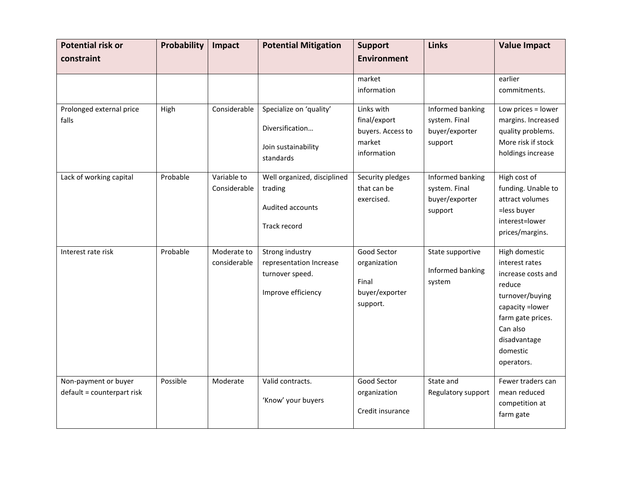| <b>Potential risk or</b>                           | Probability | Impact                      | <b>Potential Mitigation</b>                                                         | <b>Support</b>                                                           | <b>Links</b>                                                   | <b>Value Impact</b>                                                                                                                                                               |
|----------------------------------------------------|-------------|-----------------------------|-------------------------------------------------------------------------------------|--------------------------------------------------------------------------|----------------------------------------------------------------|-----------------------------------------------------------------------------------------------------------------------------------------------------------------------------------|
| constraint                                         |             |                             |                                                                                     | <b>Environment</b>                                                       |                                                                |                                                                                                                                                                                   |
|                                                    |             |                             |                                                                                     | market<br>information                                                    |                                                                | earlier<br>commitments.                                                                                                                                                           |
| Prolonged external price<br>falls                  | High        | Considerable                | Specialize on 'quality'<br>Diversification<br>Join sustainability<br>standards      | Links with<br>final/export<br>buyers. Access to<br>market<br>information | Informed banking<br>system. Final<br>buyer/exporter<br>support | Low prices = lower<br>margins. Increased<br>quality problems.<br>More risk if stock<br>holdings increase                                                                          |
| Lack of working capital                            | Probable    | Variable to<br>Considerable | Well organized, disciplined<br>trading<br>Audited accounts<br>Track record          | Security pledges<br>that can be<br>exercised.                            | Informed banking<br>system. Final<br>buyer/exporter<br>support | High cost of<br>funding. Unable to<br>attract volumes<br>=less buyer<br>interest=lower<br>prices/margins.                                                                         |
| Interest rate risk                                 | Probable    | Moderate to<br>considerable | Strong industry<br>representation Increase<br>turnover speed.<br>Improve efficiency | Good Sector<br>organization<br>Final<br>buyer/exporter<br>support.       | State supportive<br>Informed banking<br>system                 | High domestic<br>interest rates<br>increase costs and<br>reduce<br>turnover/buying<br>capacity = lower<br>farm gate prices.<br>Can also<br>disadvantage<br>domestic<br>operators. |
| Non-payment or buyer<br>default = counterpart risk | Possible    | Moderate                    | Valid contracts.<br>'Know' your buyers                                              | <b>Good Sector</b><br>organization<br>Credit insurance                   | State and<br>Regulatory support                                | Fewer traders can<br>mean reduced<br>competition at<br>farm gate                                                                                                                  |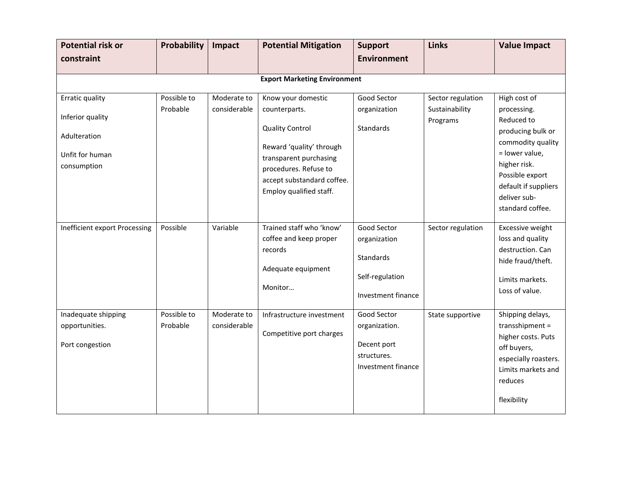| <b>Potential risk or</b><br>constraint                                                | Probability             | Impact                      | <b>Potential Mitigation</b>                                                                                                                                                                           | <b>Support</b><br><b>Environment</b>                                                     | <b>Links</b>                                    | <b>Value Impact</b>                                                                                                                                                                                  |  |  |  |
|---------------------------------------------------------------------------------------|-------------------------|-----------------------------|-------------------------------------------------------------------------------------------------------------------------------------------------------------------------------------------------------|------------------------------------------------------------------------------------------|-------------------------------------------------|------------------------------------------------------------------------------------------------------------------------------------------------------------------------------------------------------|--|--|--|
| <b>Export Marketing Environment</b>                                                   |                         |                             |                                                                                                                                                                                                       |                                                                                          |                                                 |                                                                                                                                                                                                      |  |  |  |
| Erratic quality<br>Inferior quality<br>Adulteration<br>Unfit for human<br>consumption | Possible to<br>Probable | Moderate to<br>considerable | Know your domestic<br>counterparts.<br><b>Quality Control</b><br>Reward 'quality' through<br>transparent purchasing<br>procedures. Refuse to<br>accept substandard coffee.<br>Employ qualified staff. | Good Sector<br>organization<br>Standards                                                 | Sector regulation<br>Sustainability<br>Programs | High cost of<br>processing.<br>Reduced to<br>producing bulk or<br>commodity quality<br>= lower value,<br>higher risk.<br>Possible export<br>default if suppliers<br>deliver sub-<br>standard coffee. |  |  |  |
| Inefficient export Processing                                                         | Possible                | Variable                    | Trained staff who 'know'<br>coffee and keep proper<br>records<br>Adequate equipment<br>Monitor                                                                                                        | Good Sector<br>organization<br><b>Standards</b><br>Self-regulation<br>Investment finance | Sector regulation                               | Excessive weight<br>loss and quality<br>destruction. Can<br>hide fraud/theft.<br>Limits markets.<br>Loss of value.                                                                                   |  |  |  |
| Inadequate shipping<br>opportunities.<br>Port congestion                              | Possible to<br>Probable | Moderate to<br>considerable | Infrastructure investment<br>Competitive port charges                                                                                                                                                 | Good Sector<br>organization.<br>Decent port<br>structures.<br>Investment finance         | State supportive                                | Shipping delays,<br>transshipment =<br>higher costs. Puts<br>off buyers,<br>especially roasters.<br>Limits markets and<br>reduces<br>flexibility                                                     |  |  |  |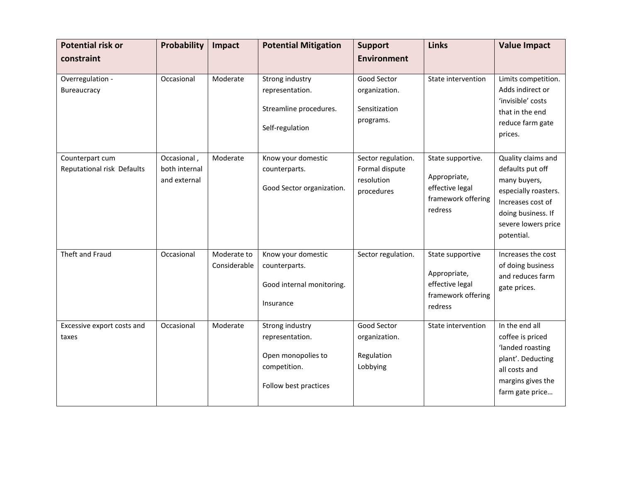| <b>Potential risk or</b>                      | Probability                                  | Impact                      | <b>Potential Mitigation</b>                                                                       | <b>Support</b>                                                   | <b>Links</b>                                                                          | <b>Value Impact</b>                                                                                                                                            |
|-----------------------------------------------|----------------------------------------------|-----------------------------|---------------------------------------------------------------------------------------------------|------------------------------------------------------------------|---------------------------------------------------------------------------------------|----------------------------------------------------------------------------------------------------------------------------------------------------------------|
| constraint                                    |                                              |                             |                                                                                                   | <b>Environment</b>                                               |                                                                                       |                                                                                                                                                                |
| Overregulation -<br>Bureaucracy               | Occasional                                   | Moderate                    | Strong industry<br>representation.<br>Streamline procedures.<br>Self-regulation                   | Good Sector<br>organization.<br>Sensitization<br>programs.       | State intervention                                                                    | Limits competition.<br>Adds indirect or<br>'invisible' costs<br>that in the end<br>reduce farm gate<br>prices.                                                 |
| Counterpart cum<br>Reputational risk Defaults | Occasional,<br>both internal<br>and external | Moderate                    | Know your domestic<br>counterparts.<br>Good Sector organization.                                  | Sector regulation.<br>Formal dispute<br>resolution<br>procedures | State supportive.<br>Appropriate,<br>effective legal<br>framework offering<br>redress | Quality claims and<br>defaults put off<br>many buyers,<br>especially roasters.<br>Increases cost of<br>doing business. If<br>severe lowers price<br>potential. |
| Theft and Fraud                               | Occasional                                   | Moderate to<br>Considerable | Know your domestic<br>counterparts.<br>Good internal monitoring.<br>Insurance                     | Sector regulation.                                               | State supportive<br>Appropriate,<br>effective legal<br>framework offering<br>redress  | Increases the cost<br>of doing business<br>and reduces farm<br>gate prices.                                                                                    |
| Excessive export costs and<br>taxes           | Occasional                                   | Moderate                    | Strong industry<br>representation.<br>Open monopolies to<br>competition.<br>Follow best practices | Good Sector<br>organization.<br>Regulation<br>Lobbying           | State intervention                                                                    | In the end all<br>coffee is priced<br>'landed roasting<br>plant'. Deducting<br>all costs and<br>margins gives the<br>farm gate price                           |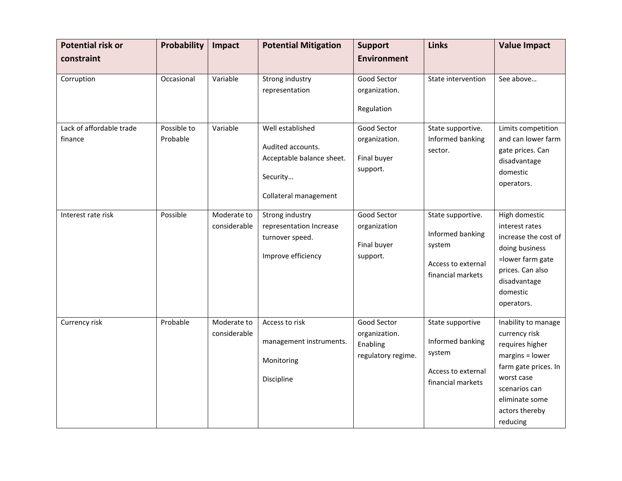| <b>Potential risk or</b>            | Probability             | Impact                      | <b>Potential Mitigation</b>                                                                             | <b>Support</b>                                                 | <b>Links</b>                                                                                     | <b>Value Impact</b>                                                                                                                                                               |
|-------------------------------------|-------------------------|-----------------------------|---------------------------------------------------------------------------------------------------------|----------------------------------------------------------------|--------------------------------------------------------------------------------------------------|-----------------------------------------------------------------------------------------------------------------------------------------------------------------------------------|
| constraint                          |                         |                             |                                                                                                         | <b>Environment</b>                                             |                                                                                                  |                                                                                                                                                                                   |
| Corruption                          | Occasional              | Variable                    | Strong industry<br>representation                                                                       | Good Sector<br>organization.<br>Regulation                     | State intervention                                                                               | See above                                                                                                                                                                         |
| Lack of affordable trade<br>finance | Possible to<br>Probable | Variable                    | Well established<br>Audited accounts.<br>Acceptable balance sheet.<br>Security<br>Collateral management | Good Sector<br>organization.<br>Final buyer<br>support.        | State supportive.<br>Informed banking<br>sector.                                                 | Limits competition<br>and can lower farm<br>gate prices. Can<br>disadvantage<br>domestic<br>operators.                                                                            |
| Interest rate risk                  | Possible                | Moderate to<br>considerable | Strong industry<br>representation Increase<br>turnover speed.<br>Improve efficiency                     | Good Sector<br>organization<br>Final buyer<br>support.         | State supportive.<br>Informed banking<br>system<br>Access to external<br>financial markets       | High domestic<br>interest rates<br>increase the cost of<br>doing business<br>=lower farm gate<br>prices. Can also<br>disadvantage<br>domestic<br>operators.                       |
| Currency risk                       | Probable                | Moderate to<br>considerable | Access to risk<br>management instruments.<br>Monitoring<br>Discipline                                   | Good Sector<br>organization.<br>Enabling<br>regulatory regime. | State supportive<br>Informed banking<br>system<br><b>Access to external</b><br>financial markets | Inability to manage<br>currency risk<br>requires higher<br>margins = lower<br>farm gate prices. In<br>worst case<br>scenarios can<br>eliminate some<br>actors thereby<br>reducing |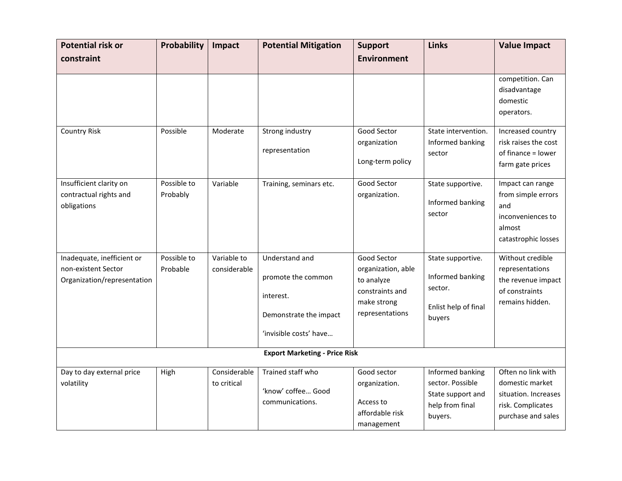| <b>Potential risk or</b>                                                         | Probability             | Impact                      | <b>Potential Mitigation</b>                                                                           | <b>Support</b>                                                                                       | <b>Links</b>                                                                            | <b>Value Impact</b>                                                                                      |
|----------------------------------------------------------------------------------|-------------------------|-----------------------------|-------------------------------------------------------------------------------------------------------|------------------------------------------------------------------------------------------------------|-----------------------------------------------------------------------------------------|----------------------------------------------------------------------------------------------------------|
| constraint                                                                       |                         |                             |                                                                                                       | <b>Environment</b>                                                                                   |                                                                                         |                                                                                                          |
|                                                                                  |                         |                             |                                                                                                       |                                                                                                      |                                                                                         | competition. Can<br>disadvantage<br>domestic<br>operators.                                               |
| <b>Country Risk</b>                                                              | Possible                | Moderate                    | Strong industry<br>representation                                                                     | Good Sector<br>organization<br>Long-term policy                                                      | State intervention.<br>Informed banking<br>sector                                       | Increased country<br>risk raises the cost<br>of finance = lower<br>farm gate prices                      |
| Insufficient clarity on<br>contractual rights and<br>obligations                 | Possible to<br>Probably | Variable                    | Training, seminars etc.                                                                               | Good Sector<br>organization.                                                                         | State supportive.<br>Informed banking<br>sector                                         | Impact can range<br>from simple errors<br>and<br>inconveniences to<br>almost<br>catastrophic losses      |
| Inadequate, inefficient or<br>non-existent Sector<br>Organization/representation | Possible to<br>Probable | Variable to<br>considerable | Understand and<br>promote the common<br>interest.<br>Demonstrate the impact<br>'invisible costs' have | Good Sector<br>organization, able<br>to analyze<br>constraints and<br>make strong<br>representations | State supportive.<br>Informed banking<br>sector.<br>Enlist help of final<br>buyers      | Without credible<br>representations<br>the revenue impact<br>of constraints<br>remains hidden.           |
|                                                                                  |                         |                             | <b>Export Marketing - Price Risk</b>                                                                  |                                                                                                      |                                                                                         |                                                                                                          |
| Day to day external price<br>volatility                                          | High                    | Considerable<br>to critical | Trained staff who<br>'know' coffee Good<br>communications.                                            | Good sector<br>organization.<br>Access to<br>affordable risk<br>management                           | Informed banking<br>sector. Possible<br>State support and<br>help from final<br>buyers. | Often no link with<br>domestic market<br>situation. Increases<br>risk. Complicates<br>purchase and sales |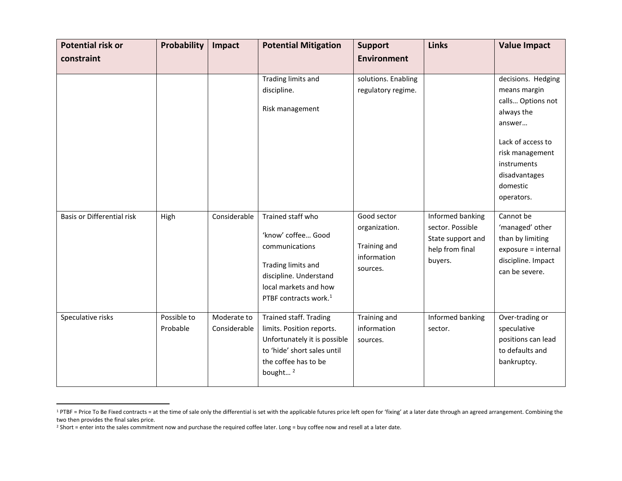| <b>Potential risk or</b><br>constraint | Probability             | Impact                      | <b>Potential Mitigation</b>                                                                                                                                             | <b>Support</b><br><b>Environment</b>                                    | <b>Links</b>                                                                            | <b>Value Impact</b>                                                                                                                                                               |
|----------------------------------------|-------------------------|-----------------------------|-------------------------------------------------------------------------------------------------------------------------------------------------------------------------|-------------------------------------------------------------------------|-----------------------------------------------------------------------------------------|-----------------------------------------------------------------------------------------------------------------------------------------------------------------------------------|
|                                        |                         |                             |                                                                                                                                                                         |                                                                         |                                                                                         |                                                                                                                                                                                   |
|                                        |                         |                             | Trading limits and<br>discipline.<br>Risk management                                                                                                                    | solutions. Enabling<br>regulatory regime.                               |                                                                                         | decisions. Hedging<br>means margin<br>calls Options not<br>always the<br>answer<br>Lack of access to<br>risk management<br>instruments<br>disadvantages<br>domestic<br>operators. |
| <b>Basis or Differential risk</b>      | High                    | Considerable                | Trained staff who<br>'know' coffee Good<br>communications<br>Trading limits and<br>discipline. Understand<br>local markets and how<br>PTBF contracts work. <sup>1</sup> | Good sector<br>organization.<br>Training and<br>information<br>sources. | Informed banking<br>sector. Possible<br>State support and<br>help from final<br>buyers. | Cannot be<br>'managed' other<br>than by limiting<br>exposure = internal<br>discipline. Impact<br>can be severe.                                                                   |
| Speculative risks                      | Possible to<br>Probable | Moderate to<br>Considerable | Trained staff. Trading<br>limits. Position reports.<br>Unfortunately it is possible<br>to 'hide' short sales until<br>the coffee has to be<br>bought <sup>2</sup>       | Training and<br>information<br>sources.                                 | Informed banking<br>sector.                                                             | Over-trading or<br>speculative<br>positions can lead<br>to defaults and<br>bankruptcy.                                                                                            |

<sup>&</sup>lt;sup>1</sup>PTBF = Price To Be Fixed contracts = at the time of sale only the differential is set with the applicable futures price left open for 'fixing' at a later date through an agreed arrangement. Combining the two then provides the final sales price.

 $\overline{a}$ 

<sup>&</sup>lt;sup>2</sup> Short = enter into the sales commitment now and purchase the required coffee later. Long = buy coffee now and resell at a later date.